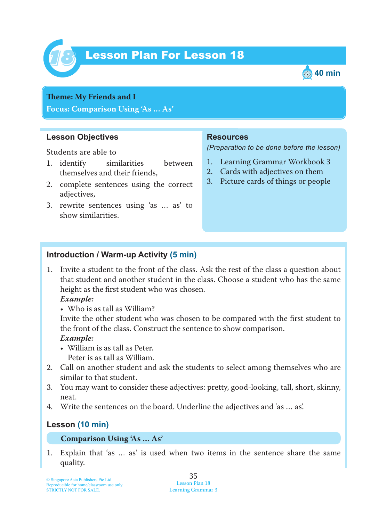

# Lesson Plan For Lesson 18 *18*



### **Teme : My Friends and I Focus: Comparison Using 'As … As'**

### **Lesson Objectives**

Students are able to

- 1. identify similarities between themselves and their friends,
- 2. complete sentences using the correct adjectives,
- 3. rewrite sentences using 'as … as' to show similarities.

### **Resources**

*(Preparation to be done before the lesson)*

- 1. Learning Grammar Workbook 3
- 2. Cards with adjectives on them
- 3. Picture cards of things or people

### **Introduction / Warm-up Activity (5 min)**

1. Invite a student to the front of the class. Ask the rest of the class a question about that student and another student in the class. Choose a student who has the same height as the first student who was chosen.

#### *Example:*

• Who is as tall as William?

Invite the other student who was chosen to be compared with the first student to the front of the class. Construct the sentence to show comparison.

#### *Example:*

- William is as tall as Peter. Peter is as tall as William.
- 2. Call on another student and ask the students to select among themselves who are similar to that student.
- 3. You may want to consider these adjectives: pretty, good-looking, tall, short, skinny, neat.
- 4. Write the sentences on the board. Underline the adjectives and 'as … as'.

# **Lesson (10 min)**

#### **Comparison Using 'As … As'**

1. Explain that 'as … as' is used when two items in the sentence share the same quality.